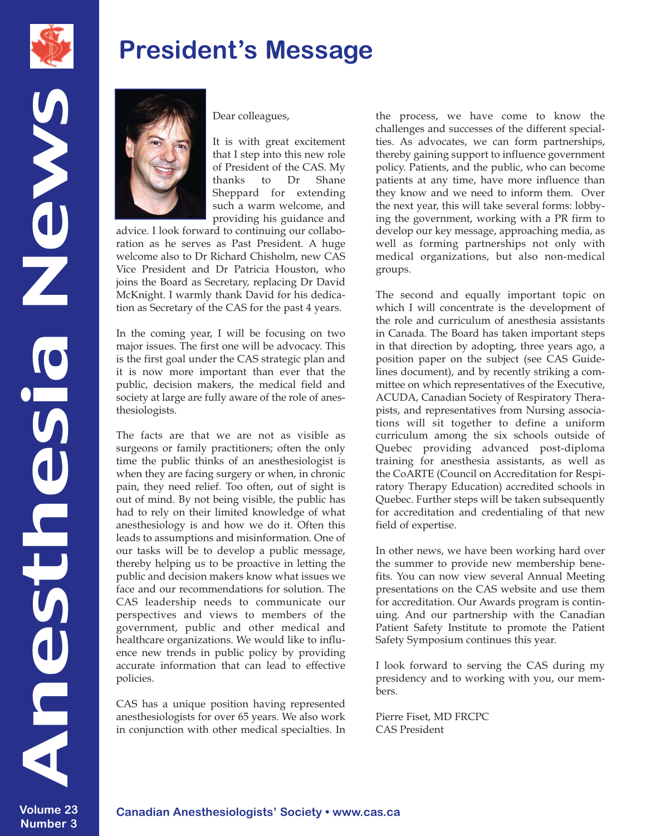

News

## **President's Message**



Dear colleagues,

It is with great excitement that I step into this new role of President of the CAS. My thanks to Dr Shane Sheppard for extending such a warm welcome, and providing his guidance and

advice. I look forward to continuing our collaboration as he serves as Past President. A huge welcome also to Dr Richard Chisholm, new CAS Vice President and Dr Patricia Houston, who joins the Board as Secretary, replacing Dr David McKnight. I warmly thank David for his dedication as Secretary of the CAS for the past 4 years.

In the coming year, I will be focusing on two major issues. The first one will be advocacy. This is the first goal under the CAS strategic plan and it is now more important than ever that the public, decision makers, the medical field and society at large are fully aware of the role of anesthesiologists.

The facts are that we are not as visible as surgeons or family practitioners; often the only time the public thinks of an anesthesiologist is when they are facing surgery or when, in chronic pain, they need relief. Too often, out of sight is out of mind. By not being visible, the public has had to rely on their limited knowledge of what anesthesiology is and how we do it. Often this leads to assumptions and misinformation. One of our tasks will be to develop a public message, thereby helping us to be proactive in letting the public and decision makers know what issues we face and our recommendations for solution. The CAS leadership needs to communicate our perspectives and views to members of the government, public and other medical and healthcare organizations. We would like to influence new trends in public policy by providing accurate information that can lead to effective policies.

CAS has a unique position having represented anesthesiologists for over 65 years. We also work in conjunction with other medical specialties. In the process, we have come to know the challenges and successes of the different specialties. As advocates, we can form partnerships, thereby gaining support to influence government policy. Patients, and the public, who can become patients at any time, have more influence than they know and we need to inform them. Over the next year, this will take several forms: lobbying the government, working with a PR firm to develop our key message, approaching media, as well as forming partnerships not only with medical organizations, but also non-medical groups.

The second and equally important topic on which I will concentrate is the development of the role and curriculum of anesthesia assistants in Canada. The Board has taken important steps in that direction by adopting, three years ago, a position paper on the subject (see CAS Guidelines document), and by recently striking a committee on which representatives of the Executive, ACUDA, Canadian Society of Respiratory Therapists, and representatives from Nursing associations will sit together to define a uniform curriculum among the six schools outside of Quebec providing advanced post-diploma training for anesthesia assistants, as well as the CoARTE (Council on Accreditation for Respiratory Therapy Education) accredited schools in Quebec. Further steps will be taken subsequently for accreditation and credentialing of that new field of expertise.

In other news, we have been working hard over the summer to provide new membership benefits. You can now view several Annual Meeting presentations on the CAS website and use them for accreditation. Our Awards program is continuing. And our partnership with the Canadian Patient Safety Institute to promote the Patient Safety Symposium continues this year.

I look forward to serving the CAS during my presidency and to working with you, our members.

Pierre Fiset, MD FRCPC CAS President

anesthesia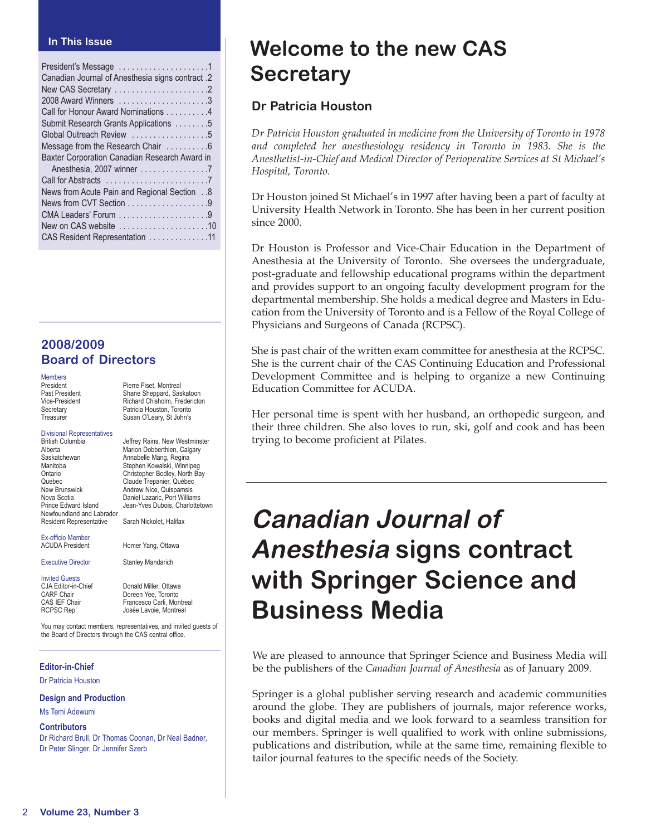#### **In This Issue**

#### **2008/2009 Board of Directors**

| <b>Members</b> |
|----------------|
| President      |
| Past President |
| Vice-President |
| Secretary      |
| Treasurer      |

Shane Sheppard, Saskatoon Richard Chisholm, Fredericton Patricia Houston, Toronto Susan O'Leary, St John's Divisional Representatives British Columbia **Gottom Deffrey Rains, New Westminster**<br>Alberta **Alberta** Marion Dobberthien. Calgary Alberta Marion Dobberthien, Calgary<br>Saskatchewan Marion Dobberthien, Regina Saskatchewan **Annabelle Mang, Regina**<br>Manitoba **Mangkatan Stephen Kowalski**, Winnin Manitoba Stephen Kowalski, Winnipeg Ontario Christopher Bodley, North Bay Quebec Claude Trepanier, Québec<br>
New Brunswick Charle Andrew Nice, Quispamsis New Brunswick **Andrew Nice, Quispamsis**<br>Nova Scotia **Andrew Daniel Lazaric**. Port Willian Nova Scotia **Daniel Lazaric, Port Williams**<br>Prince Edward Island Dean-Yves Dubois Charlottel Jean-Yves Dubois, Charlottetown Newfoundland and Labrador Resident Representative Sarah Nickolet, Halifax

Pierre Fiset, Montreal

Ex-officio Member

Executive Director **Stanley Mandarich** 

Invited Guests<br>CJA Editor-in-Chief

CJA Editor-in-Chief Donald Miller, Ottawa<br>CARF Chair Doreen Yee, Toronto CARF Chair **Doreen Yee, Toronto**<br>CAS IEF Chair **CAS** Francesco Carli, Mor CAS IEF Chair Francesco Carli, Montreal<br>RCPSC Rep Josée Lavoie, Montreal Josée Lavoie, Montreal

Homer Yang, Ottawa

You may contact members, representatives, and invited guests of the Board of Directors through the CAS central office.

#### **Editor-in-Chief**

Dr Patricia Houston

**Design and Production**

#### Ms Temi Adewumi

**Contributors**

Dr Richard Brull, Dr Thomas Coonan, Dr Neal Badner, Dr Peter Slinger, Dr Jennifer Szerb

## **Welcome to the new CAS Secretary**

#### **Dr Patricia Houston**

*Dr Patricia Houston graduated in medicine from the University of Toronto in 1978* and completed her anesthesiology residency in Toronto in 1983. She is the *Anesthetist-in-Chief and Medical Director of Perioperative Services at St Michael's Hospital, Toronto.* 

Dr Houston joined St Michael's in 1997 after having been a part of faculty at University Health Network in Toronto. She has been in her current position since 2000.

Dr Houston is Professor and Vice-Chair Education in the Department of Anesthesia at the University of Toronto. She oversees the undergraduate, post-graduate and fellowship educational programs within the department and provides support to an ongoing faculty development program for the departmental membership. She holds a medical degree and Masters in Education from the University of Toronto and is a Fellow of the Royal College of Physicians and Surgeons of Canada (RCPSC).

She is past chair of the written exam committee for anesthesia at the RCPSC. She is the current chair of the CAS Continuing Education and Professional Development Committee and is helping to organize a new Continuing Education Committee for ACUDA.

Her personal time is spent with her husband, an orthopedic surgeon, and their three children. She also loves to run, ski, golf and cook and has been trying to become proficient at Pilates.

# **Canadian Journal of Anesthesia signs contract with Springer Science and Business Media**

We are pleased to announce that Springer Science and Business Media will be the publishers of the *Canadian Journal of Anesthesia* as of January 2009.

Springer is a global publisher serving research and academic communities around the globe. They are publishers of journals, major reference works, books and digital media and we look forward to a seamless transition for our members. Springer is well qualified to work with online submissions, publications and distribution, while at the same time, remaining flexible to tailor journal features to the specific needs of the Society.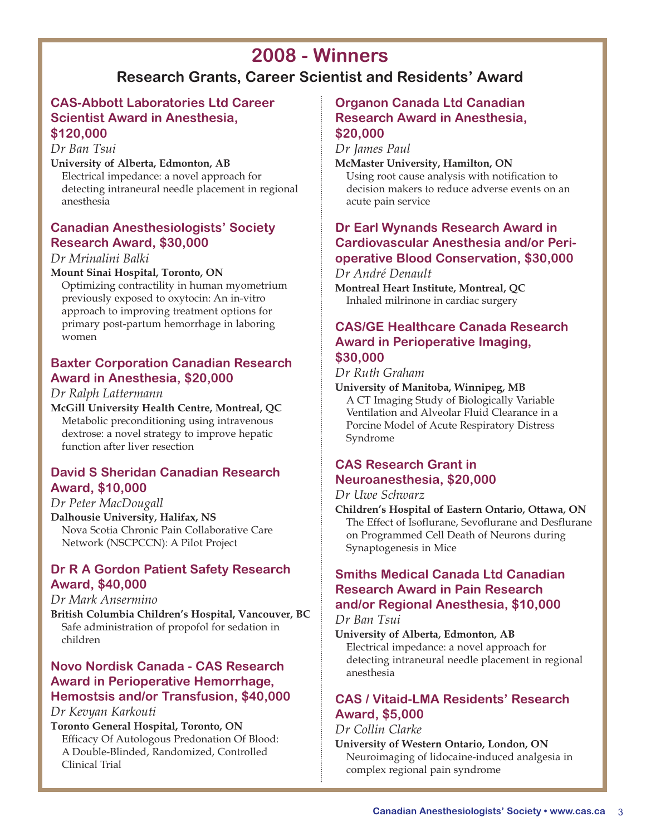## **2008 - Winners**

## **Research Grants, Career Scientist and Residents' Award**

#### **CAS-Abbott Laboratories Ltd Career Scientist Award in Anesthesia, \$120,000**

*Dr Ban Tsui*

#### **University of Alberta, Edmonton, AB**

Electrical impedance: a novel approach for detecting intraneural needle placement in regional anesthesia

#### **Canadian Anesthesiologists' Society Research Award, \$30,000**

#### *Dr Mrinalini Balki*

#### **Mount Sinai Hospital, Toronto, ON**

Optimizing contractility in human myometrium previously exposed to oxytocin: An in-vitro approach to improving treatment options for primary post-partum hemorrhage in laboring women

#### **Baxter Corporation Canadian Research Award in Anesthesia, \$20,000**

#### *Dr Ralph Lattermann*

**McGill University Health Centre, Montreal, QC** Metabolic preconditioning using intravenous dextrose: a novel strategy to improve hepatic function after liver resection

#### **David S Sheridan Canadian Research Award, \$10,000**

#### *Dr Peter MacDougall*

**Dalhousie University, Halifax, NS** Nova Scotia Chronic Pain Collaborative Care Network (NSCPCCN): A Pilot Project

#### **Dr R A Gordon Patient Safety Research Award, \$40,000**

#### *Dr Mark Ansermino*

**British Columbia Children's Hospital, Vancouver, BC** Safe administration of propofol for sedation in children

### **Novo Nordisk Canada - CAS Research Award in Perioperative Hemorrhage, Hemostsis and/or Transfusion, \$40,000**

#### *Dr Kevyan Karkouti*

**Toronto General Hospital, Toronto, ON** Efficacy Of Autologous Predonation Of Blood: A Double-Blinded, Randomized, Controlled Clinical Trial

#### **Organon Canada Ltd Canadian Research Award in Anesthesia, \$20,000**

*Dr James Paul*

#### **McMaster University, Hamilton, ON**

Using root cause analysis with notification to decision makers to reduce adverse events on an acute pain service

### **Dr Earl Wynands Research Award in Cardiovascular Anesthesia and/or Perioperative Blood Conservation, \$30,000**

*Dr André Denault*

**Montreal Heart Institute, Montreal, QC** Inhaled milrinone in cardiac surgery

#### **CAS/GE Healthcare Canada Research Award in Perioperative Imaging, \$30,000**

*Dr Ruth Graham*

**University of Manitoba, Winnipeg, MB** A CT Imaging Study of Biologically Variable Ventilation and Alveolar Fluid Clearance in a Porcine Model of Acute Respiratory Distress Syndrome

### **CAS Research Grant in Neuroanesthesia, \$20,000**

#### *Dr Uwe Schwarz*

**Children's Hospital of Eastern Ontario, Ottawa, ON** The Effect of Isoflurane, Sevoflurane and Desflurane on Programmed Cell Death of Neurons during Synaptogenesis in Mice

#### **Smiths Medical Canada Ltd Canadian Research Award in Pain Research and/or Regional Anesthesia, \$10,000**

*Dr Ban Tsui*

**University of Alberta, Edmonton, AB**

Electrical impedance: a novel approach for detecting intraneural needle placement in regional anesthesia

### **CAS / Vitaid-LMA Residents' Research Award, \$5,000**

#### *Dr Collin Clarke*

**University of Western Ontario, London, ON** Neuroimaging of lidocaine-induced analgesia in complex regional pain syndrome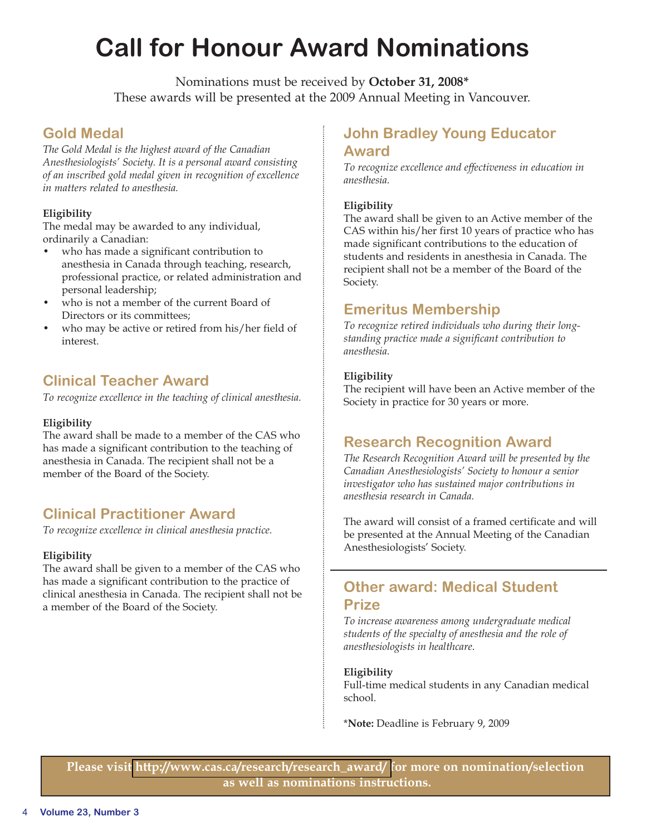## **Call for Honour Award Nominations**

Nominations must be received by **October 31, 2008\*** These awards will be presented at the 2009 Annual Meeting in Vancouver.

## **Gold Medal**

*The Gold Medal is the highest award of the Canadian Anesthesiologists' Society. It is a personal award consisting of an inscribed gold medal given in recognition of excellence in matters related to anesthesia.*

#### **Eligibility**

The medal may be awarded to any individual, ordinarily a Canadian:

- who has made a significant contribution to anesthesia in Canada through teaching, research, professional practice, or related administration and personal leadership;
- who is not a member of the current Board of Directors or its committees;
- who may be active or retired from his/her field of interest.

## **Clinical Teacher Award**

*To recognize excellence in the teaching of clinical anesthesia.*

#### **Eligibility**

The award shall be made to a member of the CAS who has made a significant contribution to the teaching of anesthesia in Canada. The recipient shall not be a member of the Board of the Society.

## **Clinical Practitioner Award**

*To recognize excellence in clinical anesthesia practice.*

#### **Eligibility**

The award shall be given to a member of the CAS who has made a significant contribution to the practice of clinical anesthesia in Canada. The recipient shall not be a member of the Board of the Society.

### **John Bradley Young Educator Award**

*To recognize excellence and effectiveness in education in anesthesia.*

#### **Eligibility**

The award shall be given to an Active member of the CAS within his/her first 10 years of practice who has made significant contributions to the education of students and residents in anesthesia in Canada. The recipient shall not be a member of the Board of the Society.

## **Emeritus Membership**

*To recognize retired individuals who during their longstanding practice made a significant contribution to anesthesia.*

#### **Eligibility**

The recipient will have been an Active member of the Society in practice for 30 years or more.

### **Research Recognition Award**

*The Research Recognition Award will be presented by the Canadian Anesthesiologists' Society to honour a senior investigator who has sustained major contributions in anesthesia research in Canada.*

The award will consist of a framed certificate and will be presented at the Annual Meeting of the Canadian Anesthesiologists' Society.

## **Other award: Medical Student Prize**

*To increase awareness among undergraduate medical students of the specialty of anesthesia and the role of anesthesiologists in healthcare*.

#### **Eligibility**

Full-time medical students in any Canadian medical school.

\***Note:** Deadline is February 9, 2009

**Please visi[t http://www.cas.ca/research/research\\_award/ f](http://www.cas.ca/research/research_award/ )or more on nomination/selection as well as nominations instructions.**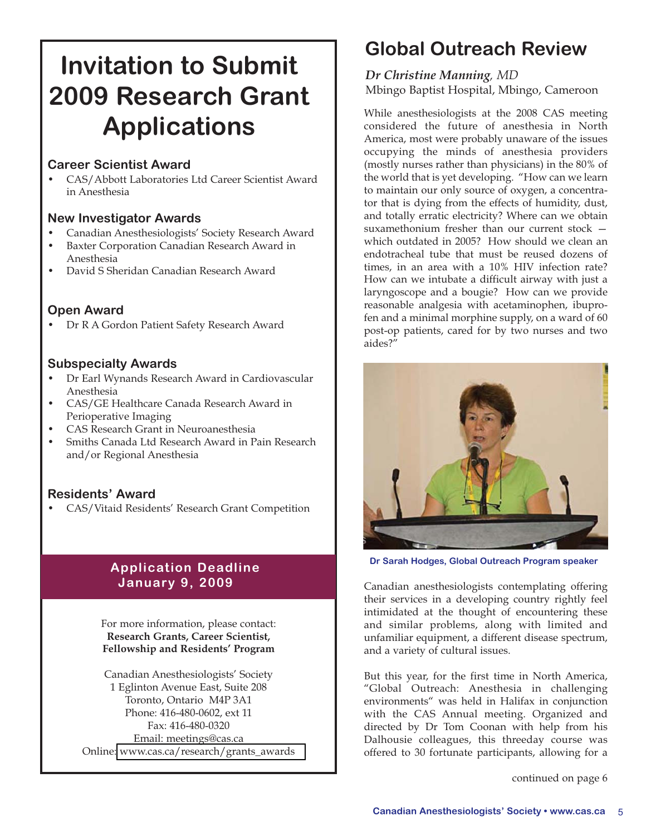# **Invitation to Submit 2009 Research Grant Applications**

#### **Career Scientist Award**

• CAS/Abbott Laboratories Ltd Career Scientist Award in Anesthesia

#### **New Investigator Awards**

- Canadian Anesthesiologists' Society Research Award
- Baxter Corporation Canadian Research Award in Anesthesia
- David S Sheridan Canadian Research Award

#### **Open Award**

• Dr R A Gordon Patient Safety Research Award

#### **Subspecialty Awards**

- Dr Earl Wynands Research Award in Cardiovascular Anesthesia
- CAS/GE Healthcare Canada Research Award in Perioperative Imaging
- CAS Research Grant in Neuroanesthesia
- Smiths Canada Ltd Research Award in Pain Research and/or Regional Anesthesia

#### **Residents' Award**

• CAS/Vitaid Residents' Research Grant Competition

### **Application Deadline January 9, 2009**

For more information, please contact: **Research Grants, Career Scientist, Fellowship and Residents' Program** 

Canadian Anesthesiologists' Society 1 Eglinton Avenue East, Suite 208 Toronto, Ontario M4P 3A1 Phone: 416-480-0602, ext 11 Fax: 416-480-0320 Email: meetings@cas.ca Online: [www.cas.ca/research/grants\\_awards](http://www.cas.ca/research/grants_awards ) 

## **Global Outreach Review**

#### *Dr Christine Manning, MD* Mbingo Baptist Hospital, Mbingo, Cameroon

While anesthesiologists at the 2008 CAS meeting considered the future of anesthesia in North America, most were probably unaware of the issues occupying the minds of anesthesia providers (mostly nurses rather than physicians) in the 80% of the world that is yet developing. "How can we learn to maintain our only source of oxygen, a concentrator that is dying from the effects of humidity, dust, and totally erratic electricity? Where can we obtain suxamethonium fresher than our current stock which outdated in 2005? How should we clean an endotracheal tube that must be reused dozens of times, in an area with a 10% HIV infection rate? How can we intubate a difficult airway with just a laryngoscope and a bougie? How can we provide reasonable analgesia with acetaminophen, ibuprofen and a minimal morphine supply, on a ward of 60 post-op patients, cared for by two nurses and two aides?"



**Dr Sarah Hodges, Global Outreach Program speaker**

Canadian anesthesiologists contemplating offering their services in a developing country rightly feel intimidated at the thought of encountering these and similar problems, along with limited and unfamiliar equipment, a different disease spectrum, and a variety of cultural issues.

But this year, for the first time in North America, "Global Outreach: Anesthesia in challenging environments" was held in Halifax in conjunction with the CAS Annual meeting. Organized and directed by Dr Tom Coonan with help from his Dalhousie colleagues, this threeday course was offered to 30 fortunate participants, allowing for a

continued on page 6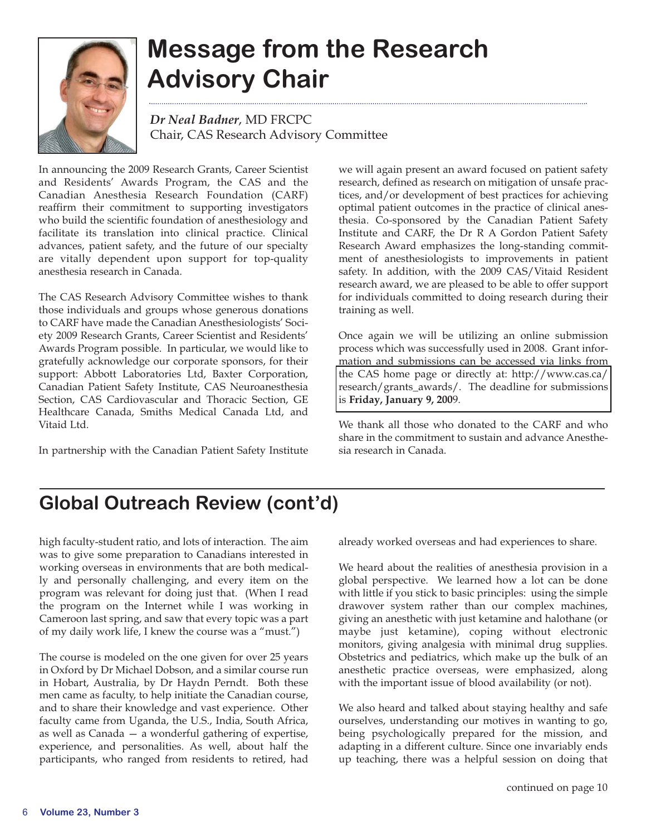

# **Message from the Research Advisory Chair**

*Dr Neal Badner*, MD FRCPC Chair, CAS Research Advisory Committee

In announcing the 2009 Research Grants, Career Scientist and Residents' Awards Program, the CAS and the Canadian Anesthesia Research Foundation (CARF) reaffirm their commitment to supporting investigators who build the scientific foundation of anesthesiology and facilitate its translation into clinical practice. Clinical advances, patient safety, and the future of our specialty are vitally dependent upon support for top-quality anesthesia research in Canada.

The CAS Research Advisory Committee wishes to thank those individuals and groups whose generous donations to CARF have made the Canadian Anesthesiologists' Society 2009 Research Grants, Career Scientist and Residents' Awards Program possible. In particular, we would like to gratefully acknowledge our corporate sponsors, for their support: Abbott Laboratories Ltd, Baxter Corporation, Canadian Patient Safety Institute, CAS Neuroanesthesia Section, CAS Cardiovascular and Thoracic Section, GE Healthcare Canada, Smiths Medical Canada Ltd, and Vitaid Ltd.

In partnership with the Canadian Patient Safety Institute

we will again present an award focused on patient safety research, defined as research on mitigation of unsafe practices, and/or development of best practices for achieving optimal patient outcomes in the practice of clinical anesthesia. Co-sponsored by the Canadian Patient Safety Institute and CARF, the Dr R A Gordon Patient Safety Research Award emphasizes the long-standing commitment of anesthesiologists to improvements in patient safety. In addition, with the 2009 CAS/Vitaid Resident research award, we are pleased to be able to offer support for individuals committed to doing research during their training as well.

Once again we will be utilizing an online submission process which was successfully used in 2008. Grant information and submissions can be accessed via links from the CAS home page or directly at: http://www.cas.ca/ [research/grants\\_awards/. The deadline for submissions](http://www.cas.ca/research/grants_awards ) is **Friday, January 9, 200**9.

We thank all those who donated to the CARF and who share in the commitment to sustain and advance Anesthesia research in Canada.

## **Global Outreach Review (cont'd)**

high faculty-student ratio, and lots of interaction. The aim was to give some preparation to Canadians interested in working overseas in environments that are both medically and personally challenging, and every item on the program was relevant for doing just that. (When I read the program on the Internet while I was working in Cameroon last spring, and saw that every topic was a part of my daily work life, I knew the course was a "must.")

The course is modeled on the one given for over 25 years in Oxford by Dr Michael Dobson, and a similar course run in Hobart, Australia, by Dr Haydn Perndt. Both these men came as faculty, to help initiate the Canadian course, and to share their knowledge and vast experience. Other faculty came from Uganda, the U.S., India, South Africa, as well as Canada — a wonderful gathering of expertise, experience, and personalities. As well, about half the participants, who ranged from residents to retired, had

already worked overseas and had experiences to share.

We heard about the realities of anesthesia provision in a global perspective. We learned how a lot can be done with little if you stick to basic principles: using the simple drawover system rather than our complex machines, giving an anesthetic with just ketamine and halothane (or maybe just ketamine), coping without electronic monitors, giving analgesia with minimal drug supplies. Obstetrics and pediatrics, which make up the bulk of an anesthetic practice overseas, were emphasized, along with the important issue of blood availability (or not).

We also heard and talked about staying healthy and safe ourselves, understanding our motives in wanting to go, being psychologically prepared for the mission, and adapting in a different culture. Since one invariably ends up teaching, there was a helpful session on doing that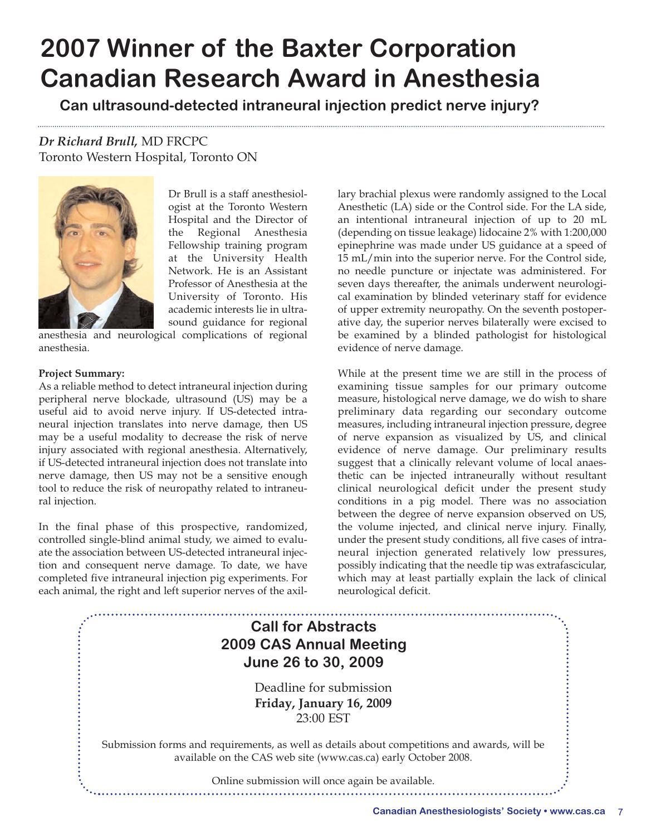## **2007 Winner of the Baxter Corporation Canadian Research Award in Anesthesia**

**Can ultrasound-detected intraneural injection predict nerve injury?**

*Dr Richard Brull,* MD FRCPC Toronto Western Hospital, Toronto ON



Dr Brull is a staff anesthesiologist at the Toronto Western Hospital and the Director of the Regional Anesthesia Fellowship training program at the University Health Network. He is an Assistant Professor of Anesthesia at the University of Toronto. His academic interests lie in ultrasound guidance for regional

anesthesia and neurological complications of regional anesthesia.

#### **Project Summary:**

As a reliable method to detect intraneural injection during peripheral nerve blockade, ultrasound (US) may be a useful aid to avoid nerve injury. If US-detected intraneural injection translates into nerve damage, then US may be a useful modality to decrease the risk of nerve injury associated with regional anesthesia. Alternatively, if US-detected intraneural injection does not translate into nerve damage, then US may not be a sensitive enough tool to reduce the risk of neuropathy related to intraneural injection.

In the final phase of this prospective, randomized, controlled single-blind animal study, we aimed to evaluate the association between US-detected intraneural injection and consequent nerve damage. To date, we have completed five intraneural injection pig experiments. For each animal, the right and left superior nerves of the axillary brachial plexus were randomly assigned to the Local Anesthetic (LA) side or the Control side. For the LA side, an intentional intraneural injection of up to 20 mL (depending on tissue leakage) lidocaine 2% with 1:200,000 epinephrine was made under US guidance at a speed of 15 mL/min into the superior nerve. For the Control side, no needle puncture or injectate was administered. For seven days thereafter, the animals underwent neurological examination by blinded veterinary staff for evidence of upper extremity neuropathy. On the seventh postoperative day, the superior nerves bilaterally were excised to be examined by a blinded pathologist for histological evidence of nerve damage.

While at the present time we are still in the process of examining tissue samples for our primary outcome measure, histological nerve damage, we do wish to share preliminary data regarding our secondary outcome measures, including intraneural injection pressure, degree of nerve expansion as visualized by US, and clinical evidence of nerve damage. Our preliminary results suggest that a clinically relevant volume of local anaesthetic can be injected intraneurally without resultant clinical neurological deficit under the present study conditions in a pig model. There was no association between the degree of nerve expansion observed on US, the volume injected, and clinical nerve injury. Finally, under the present study conditions, all five cases of intraneural injection generated relatively low pressures, possibly indicating that the needle tip was extrafascicular, which may at least partially explain the lack of clinical neurological deficit.

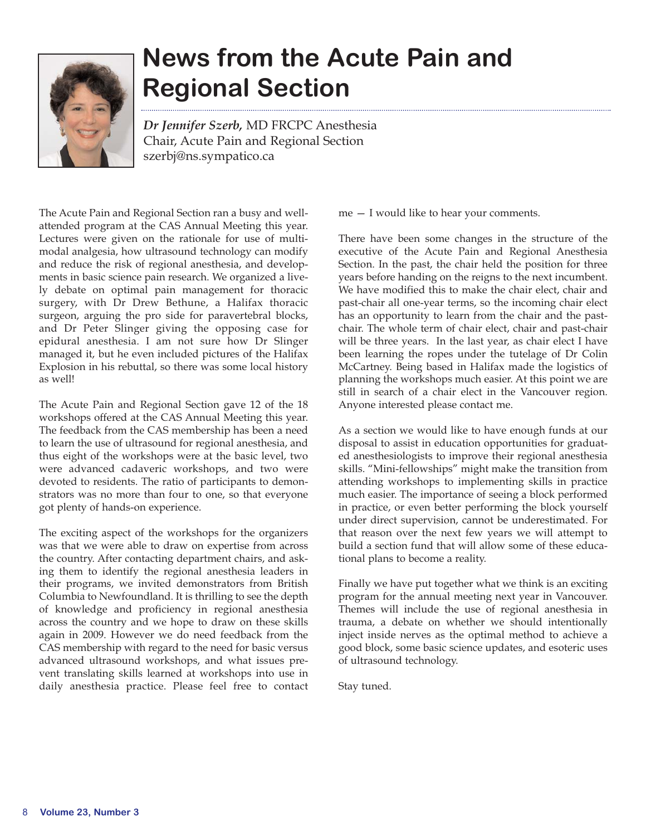

# **News from the Acute Pain and Regional Section**

*Dr Jennifer Szerb,* MD FRCPC Anesthesia Chair, Acute Pain and Regional Section szerbj@ns.sympatico.ca

The Acute Pain and Regional Section ran a busy and wellattended program at the CAS Annual Meeting this year. Lectures were given on the rationale for use of multimodal analgesia, how ultrasound technology can modify and reduce the risk of regional anesthesia, and developments in basic science pain research. We organized a lively debate on optimal pain management for thoracic surgery, with Dr Drew Bethune, a Halifax thoracic surgeon, arguing the pro side for paravertebral blocks, and Dr Peter Slinger giving the opposing case for epidural anesthesia. I am not sure how Dr Slinger managed it, but he even included pictures of the Halifax Explosion in his rebuttal, so there was some local history as well!

The Acute Pain and Regional Section gave 12 of the 18 workshops offered at the CAS Annual Meeting this year. The feedback from the CAS membership has been a need to learn the use of ultrasound for regional anesthesia, and thus eight of the workshops were at the basic level, two were advanced cadaveric workshops, and two were devoted to residents. The ratio of participants to demonstrators was no more than four to one, so that everyone got plenty of hands-on experience.

The exciting aspect of the workshops for the organizers was that we were able to draw on expertise from across the country. After contacting department chairs, and asking them to identify the regional anesthesia leaders in their programs, we invited demonstrators from British Columbia to Newfoundland. It is thrilling to see the depth of knowledge and proficiency in regional anesthesia across the country and we hope to draw on these skills again in 2009. However we do need feedback from the CAS membership with regard to the need for basic versus advanced ultrasound workshops, and what issues prevent translating skills learned at workshops into use in daily anesthesia practice. Please feel free to contact me — I would like to hear your comments.

There have been some changes in the structure of the executive of the Acute Pain and Regional Anesthesia Section. In the past, the chair held the position for three years before handing on the reigns to the next incumbent. We have modified this to make the chair elect, chair and past-chair all one-year terms, so the incoming chair elect has an opportunity to learn from the chair and the pastchair. The whole term of chair elect, chair and past-chair will be three years. In the last year, as chair elect I have been learning the ropes under the tutelage of Dr Colin McCartney. Being based in Halifax made the logistics of planning the workshops much easier. At this point we are still in search of a chair elect in the Vancouver region. Anyone interested please contact me.

As a section we would like to have enough funds at our disposal to assist in education opportunities for graduated anesthesiologists to improve their regional anesthesia skills. "Mini-fellowships" might make the transition from attending workshops to implementing skills in practice much easier. The importance of seeing a block performed in practice, or even better performing the block yourself under direct supervision, cannot be underestimated. For that reason over the next few years we will attempt to build a section fund that will allow some of these educational plans to become a reality.

Finally we have put together what we think is an exciting program for the annual meeting next year in Vancouver. Themes will include the use of regional anesthesia in trauma, a debate on whether we should intentionally inject inside nerves as the optimal method to achieve a good block, some basic science updates, and esoteric uses of ultrasound technology.

Stay tuned.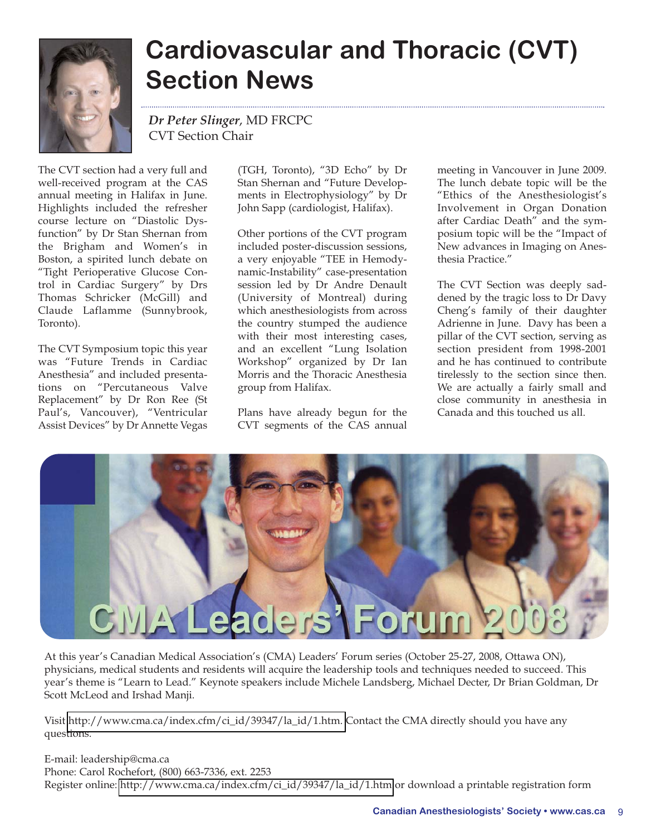

# **Cardiovascular and Thoracic (CVT) Section News**

*Dr Peter Slinger*, MD FRCPC CVT Section Chair

The CVT section had a very full and well-received program at the CAS annual meeting in Halifax in June. Highlights included the refresher course lecture on "Diastolic Dysfunction" by Dr Stan Shernan from the Brigham and Women's in Boston, a spirited lunch debate on "Tight Perioperative Glucose Control in Cardiac Surgery" by Drs Thomas Schricker (McGill) and Claude Laflamme (Sunnybrook, Toronto).

The CVT Symposium topic this year was "Future Trends in Cardiac Anesthesia" and included presentations on "Percutaneous Valve Replacement" by Dr Ron Ree (St Paul's, Vancouver), "Ventricular Assist Devices" by Dr Annette Vegas

(TGH, Toronto), "3D Echo" by Dr Stan Shernan and "Future Developments in Electrophysiology" by Dr John Sapp (cardiologist, Halifax).

Other portions of the CVT program included poster-discussion sessions, a very enjoyable "TEE in Hemodynamic-Instability" case-presentation session led by Dr Andre Denault (University of Montreal) during which anesthesiologists from across the country stumped the audience with their most interesting cases, and an excellent "Lung Isolation Workshop" organized by Dr Ian Morris and the Thoracic Anesthesia group from Halifax.

Plans have already begun for the CVT segments of the CAS annual

meeting in Vancouver in June 2009. The lunch debate topic will be the "Ethics of the Anesthesiologist's Involvement in Organ Donation after Cardiac Death" and the symposium topic will be the "Impact of New advances in Imaging on Anesthesia Practice."

The CVT Section was deeply saddened by the tragic loss to Dr Davy Cheng's family of their daughter Adrienne in June. Davy has been a pillar of the CVT section, serving as section president from 1998-2001 and he has continued to contribute tirelessly to the section since then. We are actually a fairly small and close community in anesthesia in Canada and this touched us all.



At this year's Canadian Medical Association's (CMA) Leaders' Forum series (October 25-27, 2008, Ottawa ON), physicians, medical students and residents will acquire the leadership tools and techniques needed to succeed. This year's theme is "Learn to Lead." Keynote speakers include Michele Landsberg, Michael Decter, Dr Brian Goldman, Dr Scott McLeod and Irshad Manji.

Visit [http://www.cma.ca/index.cfm/ci\\_id/39347/la\\_id/1.htm.](http://www.cma.ca/index.cfm/ci_id/39347/la_id/1.htm ) Contact the CMA directly should you have any questions.

E-mail: leadership@cma.ca Phone: Carol Rochefort, (800) 663-7336, ext. 2253 Register online: [http://www.cma.ca/index.cfm/ci\\_id/39347/la\\_id/1.htm](http://www.cma.ca/index.cfm/ci_id/39347/la_id/1.htm ) or download a printable registration form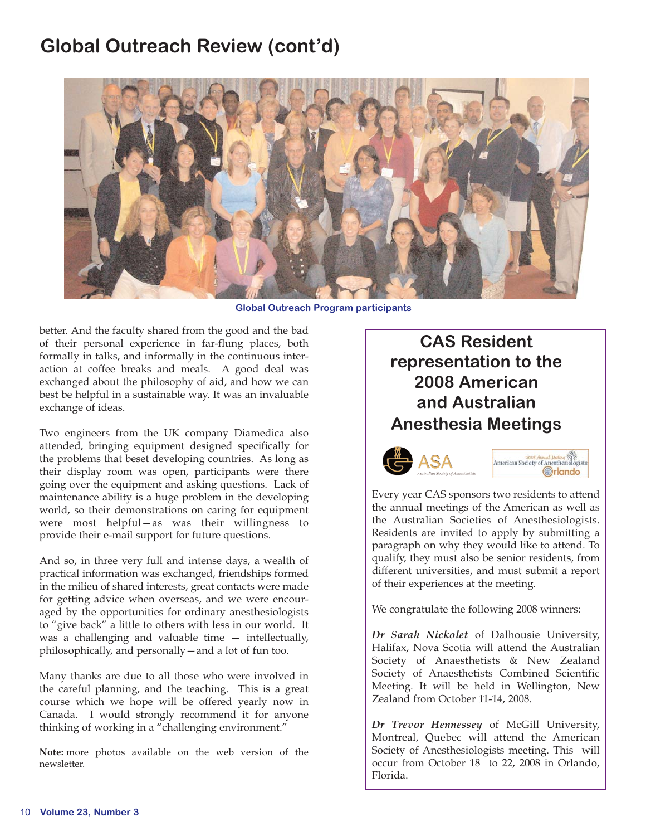## **Global Outreach Review (cont'd)**



**Global Outreach Program participants**

better. And the faculty shared from the good and the bad of their personal experience in far-flung places, both formally in talks, and informally in the continuous interaction at coffee breaks and meals. A good deal was exchanged about the philosophy of aid, and how we can best be helpful in a sustainable way. It was an invaluable exchange of ideas.

Two engineers from the UK company Diamedica also attended, bringing equipment designed specifically for the problems that beset developing countries. As long as their display room was open, participants were there going over the equipment and asking questions. Lack of maintenance ability is a huge problem in the developing world, so their demonstrations on caring for equipment were most helpful—as was their willingness to provide their e-mail support for future questions.

And so, in three very full and intense days, a wealth of practical information was exchanged, friendships formed in the milieu of shared interests, great contacts were made for getting advice when overseas, and we were encouraged by the opportunities for ordinary anesthesiologists to "give back" a little to others with less in our world. It was a challenging and valuable time — intellectually, philosophically, and personally—and a lot of fun too.

Many thanks are due to all those who were involved in the careful planning, and the teaching. This is a great course which we hope will be offered yearly now in Canada. I would strongly recommend it for anyone thinking of working in a "challenging environment."

**Note:** more photos available on the web version of the newsletter.

## **CAS Resident representation to the 2008 American and Australian Anesthesia Meetings**



Every year CAS sponsors two residents to attend the annual meetings of the American as well as the Australian Societies of Anesthesiologists. Residents are invited to apply by submitting a paragraph on why they would like to attend. To qualify, they must also be senior residents, from different universities, and must submit a report of their experiences at the meeting.

We congratulate the following 2008 winners:

*Dr Sarah Nickolet* of Dalhousie University, Halifax, Nova Scotia will attend the Australian Society of Anaesthetists & New Zealand Society of Anaesthetists Combined Scientific Meeting. It will be held in Wellington, New Zealand from October 11-14, 2008.

*Dr Trevor Hennessey* of McGill University, Montreal, Quebec will attend the American Society of Anesthesiologists meeting. This will occur from October 18 to 22, 2008 in Orlando, Florida.